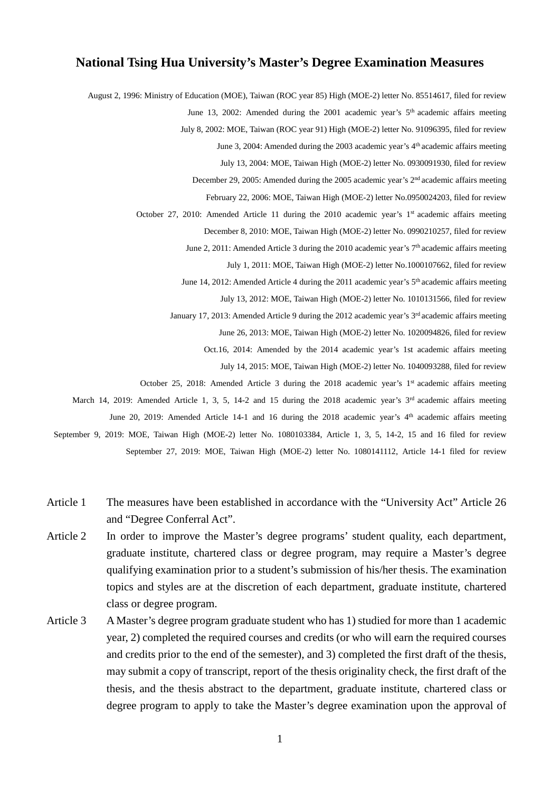## **National Tsing Hua University's Master's Degree Examination Measures**

August 2, 1996: Ministry of Education (MOE), Taiwan (ROC year 85) High (MOE-2) letter No. 85514617, filed for review June 13, 2002: Amended during the 2001 academic year's 5th academic affairs meeting July 8, 2002: MOE, Taiwan (ROC year 91) High (MOE-2) letter No. 91096395, filed for review June 3, 2004: Amended during the 2003 academic year's 4<sup>th</sup> academic affairs meeting July 13, 2004: MOE, Taiwan High (MOE-2) letter No. 0930091930, filed for review December 29, 2005: Amended during the 2005 academic year's 2nd academic affairs meeting February 22, 2006: MOE, Taiwan High (MOE-2) letter No.0950024203, filed for review October 27, 2010: Amended Article 11 during the 2010 academic year's 1<sup>st</sup> academic affairs meeting December 8, 2010: MOE, Taiwan High (MOE-2) letter No. 0990210257, filed for review June 2, 2011: Amended Article 3 during the 2010 academic year's 7<sup>th</sup> academic affairs meeting July 1, 2011: MOE, Taiwan High (MOE-2) letter No.1000107662, filed for review June 14, 2012: Amended Article 4 during the 2011 academic year's 5<sup>th</sup> academic affairs meeting July 13, 2012: MOE, Taiwan High (MOE-2) letter No. 1010131566, filed for review January 17, 2013: Amended Article 9 during the 2012 academic year's 3<sup>rd</sup> academic affairs meeting June 26, 2013: MOE, Taiwan High (MOE-2) letter No. 1020094826, filed for review Oct.16, 2014: Amended by the 2014 academic year's 1st academic affairs meeting July 14, 2015: MOE, Taiwan High (MOE-2) letter No. 1040093288, filed for review October 25, 2018: Amended Article 3 during the 2018 academic year's 1st academic affairs meeting March 14, 2019: Amended Article 1, 3, 5, 14-2 and 15 during the 2018 academic year's 3<sup>rd</sup> academic affairs meeting June 20, 2019: Amended Article 14-1 and 16 during the 2018 academic year's 4<sup>th</sup> academic affairs meeting September 9, 2019: MOE, Taiwan High (MOE-2) letter No. 1080103384, Article 1, 3, 5, 14-2, 15 and 16 filed for review September 27, 2019: MOE, Taiwan High (MOE-2) letter No. 1080141112, Article 14-1 filed for review

- Article 1 The measures have been established in accordance with the "University Act" Article 26 and "Degree Conferral Act".
- Article 2 In order to improve the Master's degree programs' student quality, each department, graduate institute, chartered class or degree program, may require a Master's degree qualifying examination prior to a student's submission of his/her thesis. The examination topics and styles are at the discretion of each department, graduate institute, chartered class or degree program.
- Article 3 A Master's degree program graduate student who has 1) studied for more than 1 academic year, 2) completed the required courses and credits (or who will earn the required courses and credits prior to the end of the semester), and 3) completed the first draft of the thesis, may submit a copy of transcript, report of the thesis originality check, the first draft of the thesis, and the thesis abstract to the department, graduate institute, chartered class or degree program to apply to take the Master's degree examination upon the approval of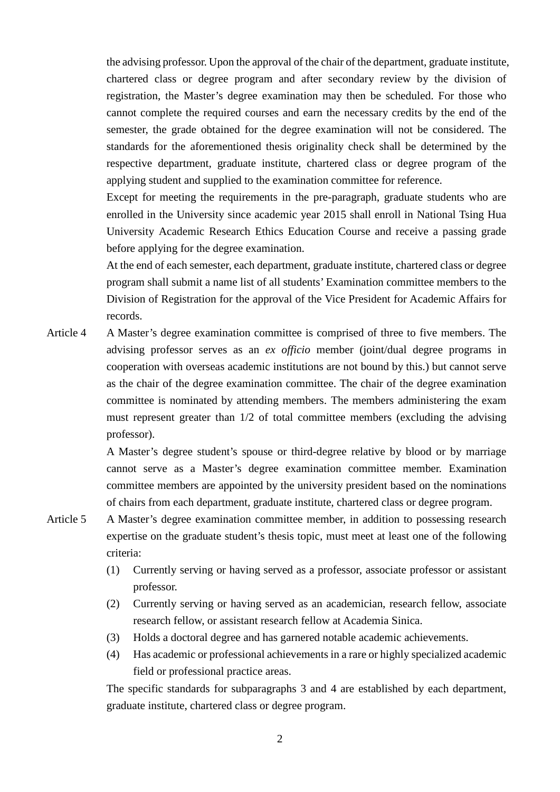the advising professor. Upon the approval of the chair of the department, graduate institute, chartered class or degree program and after secondary review by the division of registration, the Master's degree examination may then be scheduled. For those who cannot complete the required courses and earn the necessary credits by the end of the semester, the grade obtained for the degree examination will not be considered. The standards for the aforementioned thesis originality check shall be determined by the respective department, graduate institute, chartered class or degree program of the applying student and supplied to the examination committee for reference.

Except for meeting the requirements in the pre-paragraph, graduate students who are enrolled in the University since academic year 2015 shall enroll in National Tsing Hua University Academic Research Ethics Education Course and receive a passing grade before applying for the degree examination.

At the end of each semester, each department, graduate institute, chartered class or degree program shall submit a name list of all students' Examination committee members to the Division of Registration for the approval of the Vice President for Academic Affairs for records.

Article 4 A Master's degree examination committee is comprised of three to five members. The advising professor serves as an *ex officio* member (joint/dual degree programs in cooperation with overseas academic institutions are not bound by this.) but cannot serve as the chair of the degree examination committee. The chair of the degree examination committee is nominated by attending members. The members administering the exam must represent greater than  $1/2$  of total committee members (excluding the advising professor).

> A Master's degree student's spouse or third-degree relative by blood or by marriage cannot serve as a Master's degree examination committee member. Examination committee members are appointed by the university president based on the nominations of chairs from each department, graduate institute, chartered class or degree program.

- Article 5 A Master's degree examination committee member, in addition to possessing research expertise on the graduate student's thesis topic, must meet at least one of the following criteria:
	- (1) Currently serving or having served as a professor, associate professor or assistant professor.
	- (2) Currently serving or having served as an academician, research fellow, associate research fellow, or assistant research fellow at Academia Sinica.
	- (3) Holds a doctoral degree and has garnered notable academic achievements.
	- (4) Has academic or professional achievements in a rare or highly specialized academic field or professional practice areas.

The specific standards for subparagraphs 3 and 4 are established by each department, graduate institute, chartered class or degree program.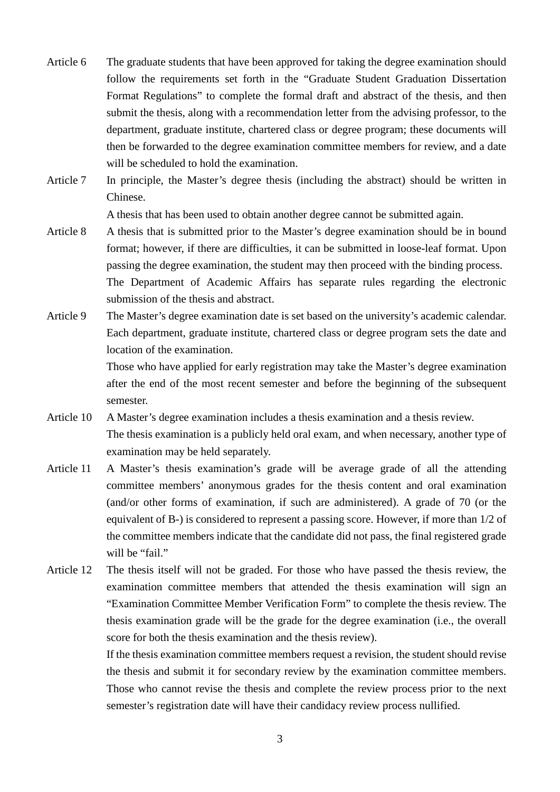- Article 6 The graduate students that have been approved for taking the degree examination should follow the requirements set forth in the "Graduate Student Graduation Dissertation Format Regulations" to complete the formal draft and abstract of the thesis, and then submit the thesis, along with a recommendation letter from the advising professor, to the department, graduate institute, chartered class or degree program; these documents will then be forwarded to the degree examination committee members for review, and a date will be scheduled to hold the examination.
- Article 7 In principle, the Master's degree thesis (including the abstract) should be written in Chinese.

A thesis that has been used to obtain another degree cannot be submitted again.

- Article 8 A thesis that is submitted prior to the Master's degree examination should be in bound format; however, if there are difficulties, it can be submitted in loose-leaf format. Upon passing the degree examination, the student may then proceed with the binding process. The Department of Academic Affairs has separate rules regarding the electronic submission of the thesis and abstract.
- Article 9 The Master's degree examination date is set based on the university's academic calendar. Each department, graduate institute, chartered class or degree program sets the date and location of the examination.

Those who have applied for early registration may take the Master's degree examination after the end of the most recent semester and before the beginning of the subsequent semester.

- Article 10 A Master's degree examination includes a thesis examination and a thesis review. The thesis examination is a publicly held oral exam, and when necessary, another type of examination may be held separately.
- Article 11 A Master's thesis examination's grade will be average grade of all the attending committee members' anonymous grades for the thesis content and oral examination (and/or other forms of examination, if such are administered). A grade of 70 (or the equivalent of B-) is considered to represent a passing score. However, if more than 1/2 of the committee members indicate that the candidate did not pass, the final registered grade will be "fail."
- Article 12 The thesis itself will not be graded. For those who have passed the thesis review, the examination committee members that attended the thesis examination will sign an "Examination Committee Member Verification Form" to complete the thesis review. The thesis examination grade will be the grade for the degree examination (i.e., the overall score for both the thesis examination and the thesis review).

If the thesis examination committee members request a revision, the student should revise the thesis and submit it for secondary review by the examination committee members. Those who cannot revise the thesis and complete the review process prior to the next

semester's registration date will have their candidacy review process nullified.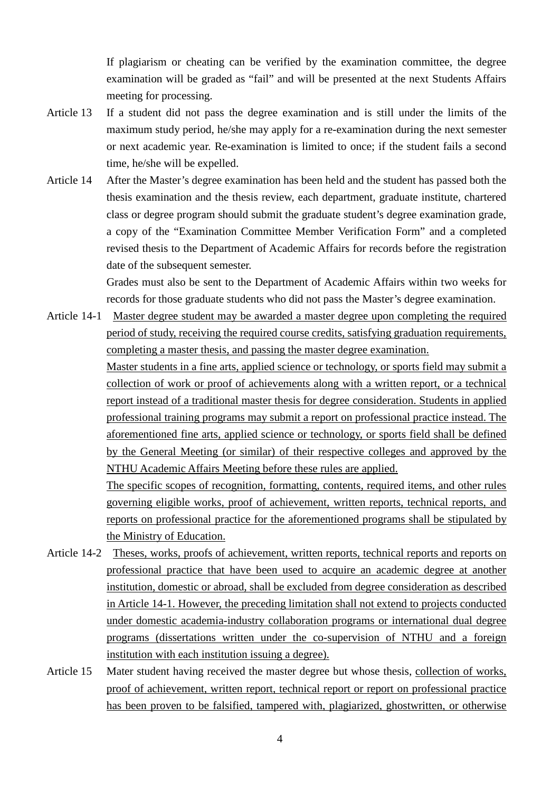If plagiarism or cheating can be verified by the examination committee, the degree examination will be graded as "fail" and will be presented at the next Students Affairs meeting for processing.

- Article 13 If a student did not pass the degree examination and is still under the limits of the maximum study period, he/she may apply for a re-examination during the next semester or next academic year. Re-examination is limited to once; if the student fails a second time, he/she will be expelled.
- Article 14 After the Master's degree examination has been held and the student has passed both the thesis examination and the thesis review, each department, graduate institute, chartered class or degree program should submit the graduate student's degree examination grade, a copy of the "Examination Committee Member Verification Form" and a completed revised thesis to the Department of Academic Affairs for records before the registration date of the subsequent semester.

Grades must also be sent to the Department of Academic Affairs within two weeks for records for those graduate students who did not pass the Master's degree examination.

Article 14-1 Master degree student may be awarded a master degree upon completing the required period of study, receiving the required course credits, satisfying graduation requirements, completing a master thesis, and passing the master degree examination.

> Master students in a fine arts, applied science or technology, or sports field may submit a collection of work or proof of achievements along with a written report, or a technical report instead of a traditional master thesis for degree consideration. Students in applied professional training programs may submit a report on professional practice instead. The aforementioned fine arts, applied science or technology, or sports field shall be defined by the General Meeting (or similar) of their respective colleges and approved by the NTHU Academic Affairs Meeting before these rules are applied.

> The specific scopes of recognition, formatting, contents, required items, and other rules governing eligible works, proof of achievement, written reports, technical reports, and reports on professional practice for the aforementioned programs shall be stipulated by the Ministry of Education.

- Article 14-2 Theses, works, proofs of achievement, written reports, technical reports and reports on professional practice that have been used to acquire an academic degree at another institution, domestic or abroad, shall be excluded from degree consideration as described in Article 14-1. However, the preceding limitation shall not extend to projects conducted under domestic academia-industry collaboration programs or international dual degree programs (dissertations written under the co-supervision of NTHU and a foreign institution with each institution issuing a degree).
- Article 15 Mater student having received the master degree but whose thesis, collection of works, proof of achievement, written report, technical report or report on professional practice has been proven to be falsified, tampered with, plagiarized, ghostwritten, or otherwise